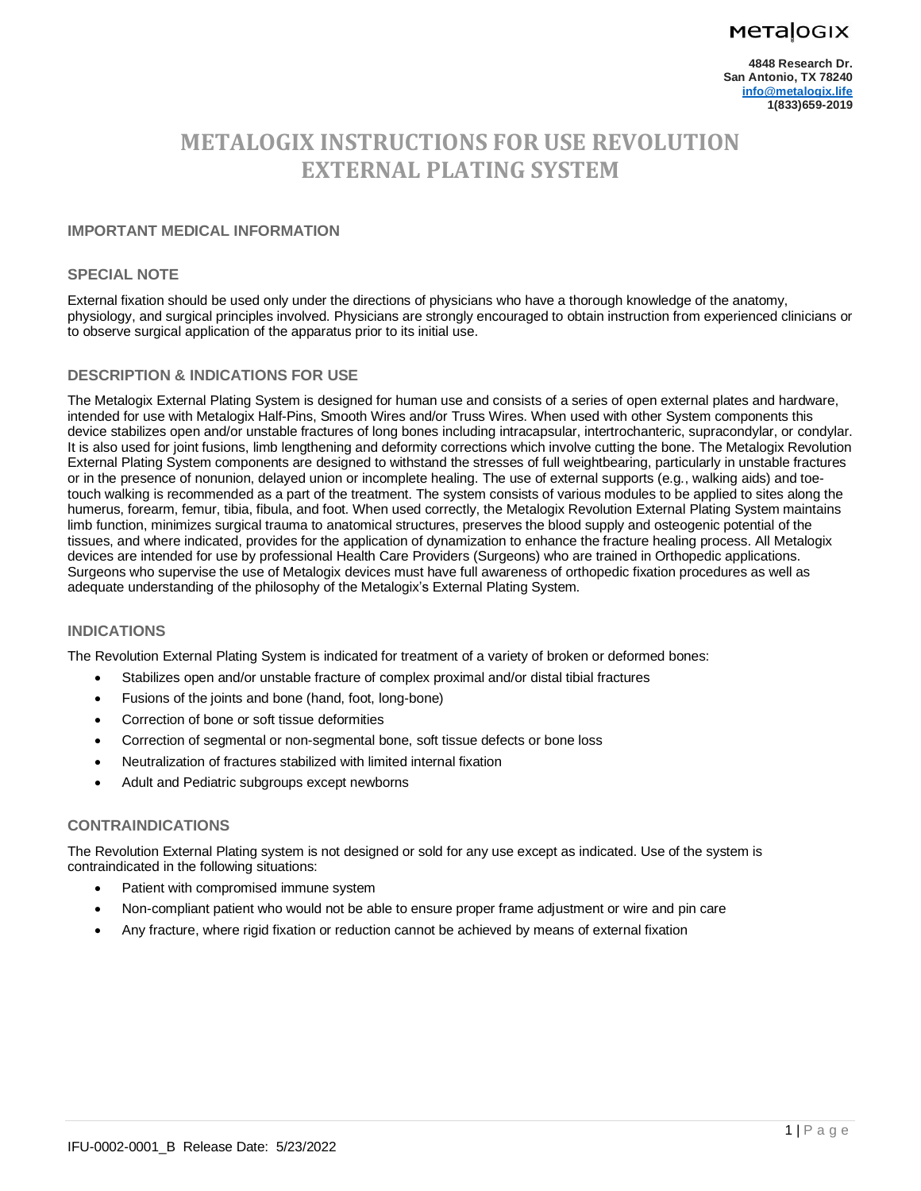## **Metalogix**

# **METALOGIX INSTRUCTIONS FOR USE REVOLUTION EXTERNAL PLATING SYSTEM**

## **IMPORTANT MEDICAL INFORMATION**

#### **SPECIAL NOTE**

External fixation should be used only under the directions of physicians who have a thorough knowledge of the anatomy, physiology, and surgical principles involved. Physicians are strongly encouraged to obtain instruction from experienced clinicians or to observe surgical application of the apparatus prior to its initial use.

## **DESCRIPTION & INDICATIONS FOR USE**

The Metalogix External Plating System is designed for human use and consists of a series of open external plates and hardware, intended for use with Metalogix Half-Pins, Smooth Wires and/or Truss Wires. When used with other System components this device stabilizes open and/or unstable fractures of long bones including intracapsular, intertrochanteric, supracondylar, or condylar. It is also used for joint fusions, limb lengthening and deformity corrections which involve cutting the bone. The Metalogix Revolution External Plating System components are designed to withstand the stresses of full weightbearing, particularly in unstable fractures or in the presence of nonunion, delayed union or incomplete healing. The use of external supports (e.g., walking aids) and toetouch walking is recommended as a part of the treatment. The system consists of various modules to be applied to sites along the humerus, forearm, femur, tibia, fibula, and foot. When used correctly, the Metalogix Revolution External Plating System maintains limb function, minimizes surgical trauma to anatomical structures, preserves the blood supply and osteogenic potential of the tissues, and where indicated, provides for the application of dynamization to enhance the fracture healing process. All Metalogix devices are intended for use by professional Health Care Providers (Surgeons) who are trained in Orthopedic applications. Surgeons who supervise the use of Metalogix devices must have full awareness of orthopedic fixation procedures as well as adequate understanding of the philosophy of the Metalogix's External Plating System.

#### **INDICATIONS**

The Revolution External Plating System is indicated for treatment of a variety of broken or deformed bones:

- Stabilizes open and/or unstable fracture of complex proximal and/or distal tibial fractures
- Fusions of the joints and bone (hand, foot, long-bone)
- Correction of bone or soft tissue deformities
- Correction of segmental or non-segmental bone, soft tissue defects or bone loss
- Neutralization of fractures stabilized with limited internal fixation
- Adult and Pediatric subgroups except newborns

#### **CONTRAINDICATIONS**

The Revolution External Plating system is not designed or sold for any use except as indicated. Use of the system is contraindicated in the following situations:

- Patient with compromised immune system
- Non-compliant patient who would not be able to ensure proper frame adjustment or wire and pin care
- Any fracture, where rigid fixation or reduction cannot be achieved by means of external fixation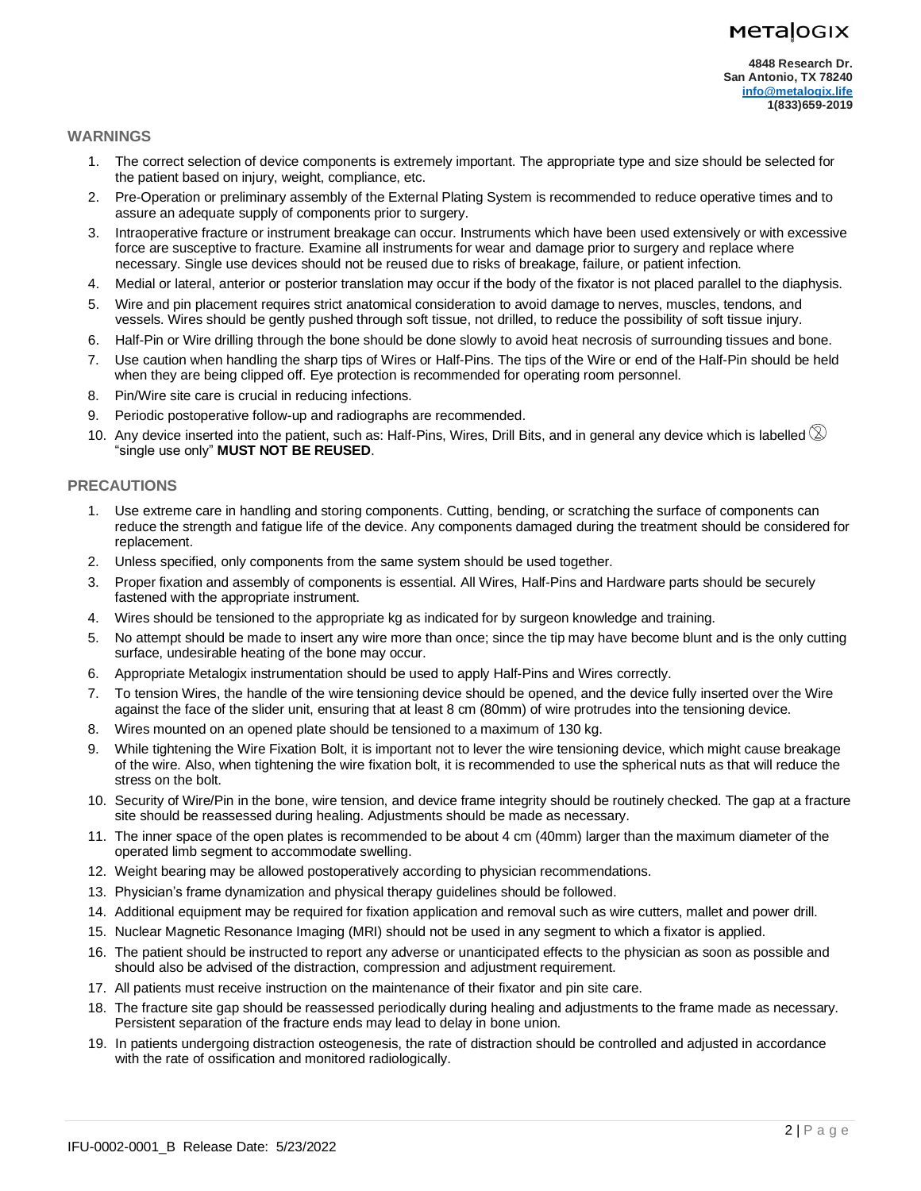## **Metalogix**

#### **WARNINGS**

- 1. The correct selection of device components is extremely important. The appropriate type and size should be selected for the patient based on injury, weight, compliance, etc.
- 2. Pre-Operation or preliminary assembly of the External Plating System is recommended to reduce operative times and to assure an adequate supply of components prior to surgery.
- 3. Intraoperative fracture or instrument breakage can occur. Instruments which have been used extensively or with excessive force are susceptive to fracture. Examine all instruments for wear and damage prior to surgery and replace where necessary. Single use devices should not be reused due to risks of breakage, failure, or patient infection.
- 4. Medial or lateral, anterior or posterior translation may occur if the body of the fixator is not placed parallel to the diaphysis.
- 5. Wire and pin placement requires strict anatomical consideration to avoid damage to nerves, muscles, tendons, and vessels. Wires should be gently pushed through soft tissue, not drilled, to reduce the possibility of soft tissue injury.
- 6. Half-Pin or Wire drilling through the bone should be done slowly to avoid heat necrosis of surrounding tissues and bone.
- 7. Use caution when handling the sharp tips of Wires or Half-Pins. The tips of the Wire or end of the Half-Pin should be held when they are being clipped off. Eye protection is recommended for operating room personnel.
- 8. Pin/Wire site care is crucial in reducing infections.
- 9. Periodic postoperative follow-up and radiographs are recommended.
- 10. Any device inserted into the patient, such as: Half-Pins, Wires, Drill Bits, and in general any device which is labelled  $\otimes$ "single use only" **MUST NOT BE REUSED**.

## **PRECAUTIONS**

- 1. Use extreme care in handling and storing components. Cutting, bending, or scratching the surface of components can reduce the strength and fatigue life of the device. Any components damaged during the treatment should be considered for replacement.
- 2. Unless specified, only components from the same system should be used together.
- 3. Proper fixation and assembly of components is essential. All Wires, Half-Pins and Hardware parts should be securely fastened with the appropriate instrument.
- 4. Wires should be tensioned to the appropriate kg as indicated for by surgeon knowledge and training.
- 5. No attempt should be made to insert any wire more than once; since the tip may have become blunt and is the only cutting surface, undesirable heating of the bone may occur.
- 6. Appropriate Metalogix instrumentation should be used to apply Half-Pins and Wires correctly.
- 7. To tension Wires, the handle of the wire tensioning device should be opened, and the device fully inserted over the Wire against the face of the slider unit, ensuring that at least 8 cm (80mm) of wire protrudes into the tensioning device.
- 8. Wires mounted on an opened plate should be tensioned to a maximum of 130 kg.
- 9. While tightening the Wire Fixation Bolt, it is important not to lever the wire tensioning device, which might cause breakage of the wire. Also, when tightening the wire fixation bolt, it is recommended to use the spherical nuts as that will reduce the stress on the bolt.
- 10. Security of Wire/Pin in the bone, wire tension, and device frame integrity should be routinely checked. The gap at a fracture site should be reassessed during healing. Adjustments should be made as necessary.
- 11. The inner space of the open plates is recommended to be about 4 cm (40mm) larger than the maximum diameter of the operated limb segment to accommodate swelling.
- 12. Weight bearing may be allowed postoperatively according to physician recommendations.
- 13. Physician's frame dynamization and physical therapy guidelines should be followed.
- 14. Additional equipment may be required for fixation application and removal such as wire cutters, mallet and power drill.
- 15. Nuclear Magnetic Resonance Imaging (MRI) should not be used in any segment to which a fixator is applied.
- 16. The patient should be instructed to report any adverse or unanticipated effects to the physician as soon as possible and should also be advised of the distraction, compression and adjustment requirement.
- 17. All patients must receive instruction on the maintenance of their fixator and pin site care.
- 18. The fracture site gap should be reassessed periodically during healing and adjustments to the frame made as necessary. Persistent separation of the fracture ends may lead to delay in bone union.
- 19. In patients undergoing distraction osteogenesis, the rate of distraction should be controlled and adjusted in accordance with the rate of ossification and monitored radiologically.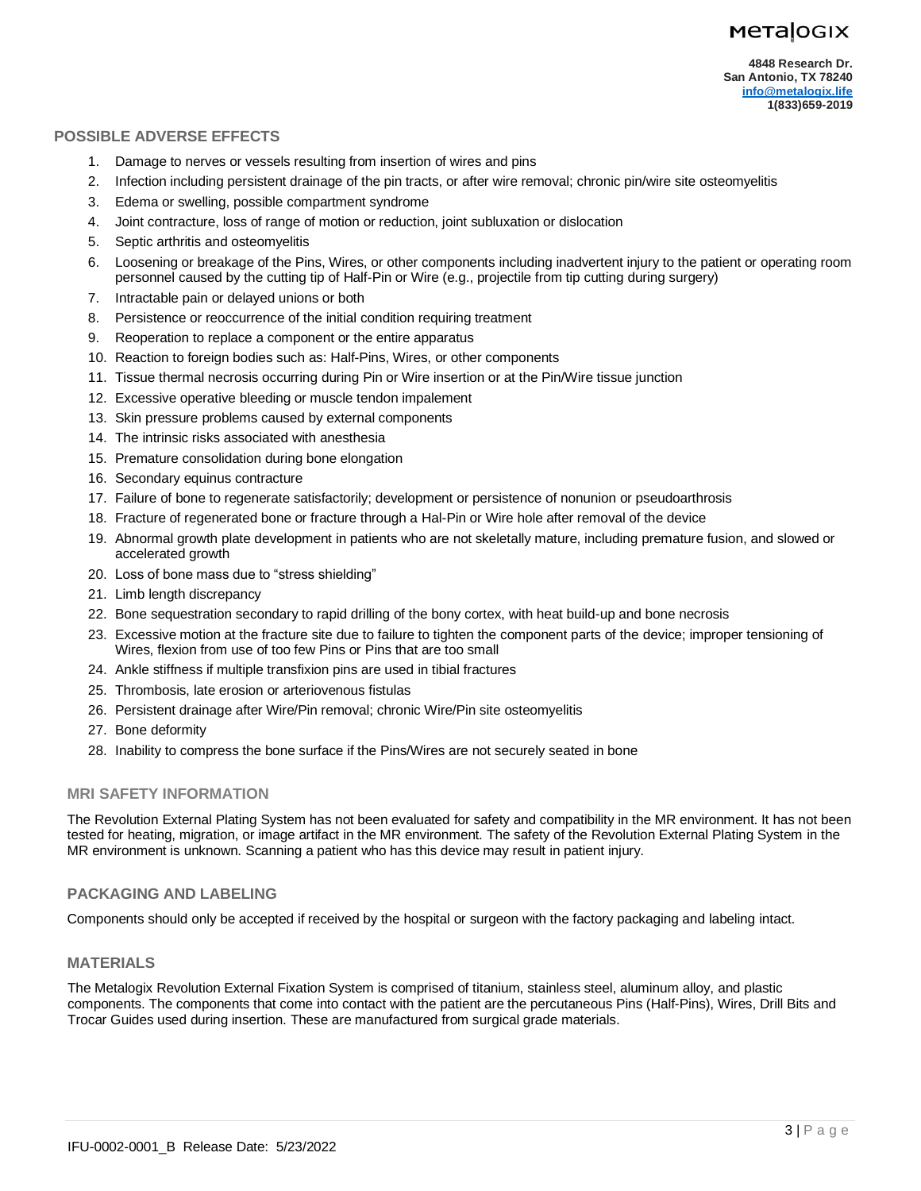## **POSSIBLE ADVERSE EFFECTS**

- 1. Damage to nerves or vessels resulting from insertion of wires and pins
- 2. Infection including persistent drainage of the pin tracts, or after wire removal; chronic pin/wire site osteomyelitis
- 3. Edema or swelling, possible compartment syndrome
- 4. Joint contracture, loss of range of motion or reduction, joint subluxation or dislocation
- 5. Septic arthritis and osteomyelitis
- 6. Loosening or breakage of the Pins, Wires, or other components including inadvertent injury to the patient or operating room personnel caused by the cutting tip of Half-Pin or Wire (e.g., projectile from tip cutting during surgery)
- 7. Intractable pain or delayed unions or both
- 8. Persistence or reoccurrence of the initial condition requiring treatment
- 9. Reoperation to replace a component or the entire apparatus
- 10. Reaction to foreign bodies such as: Half-Pins, Wires, or other components
- 11. Tissue thermal necrosis occurring during Pin or Wire insertion or at the Pin/Wire tissue junction
- 12. Excessive operative bleeding or muscle tendon impalement
- 13. Skin pressure problems caused by external components
- 14. The intrinsic risks associated with anesthesia
- 15. Premature consolidation during bone elongation
- 16. Secondary equinus contracture
- 17. Failure of bone to regenerate satisfactorily; development or persistence of nonunion or pseudoarthrosis
- 18. Fracture of regenerated bone or fracture through a Hal-Pin or Wire hole after removal of the device
- 19. Abnormal growth plate development in patients who are not skeletally mature, including premature fusion, and slowed or accelerated growth
- 20. Loss of bone mass due to "stress shielding"
- 21. Limb length discrepancy
- 22. Bone sequestration secondary to rapid drilling of the bony cortex, with heat build-up and bone necrosis
- 23. Excessive motion at the fracture site due to failure to tighten the component parts of the device; improper tensioning of Wires, flexion from use of too few Pins or Pins that are too small
- 24. Ankle stiffness if multiple transfixion pins are used in tibial fractures
- 25. Thrombosis, late erosion or arteriovenous fistulas
- 26. Persistent drainage after Wire/Pin removal; chronic Wire/Pin site osteomyelitis
- 27. Bone deformity
- 28. Inability to compress the bone surface if the Pins/Wires are not securely seated in bone

## **MRI SAFETY INFORMATION**

The Revolution External Plating System has not been evaluated for safety and compatibility in the MR environment. It has not been tested for heating, migration, or image artifact in the MR environment. The safety of the Revolution External Plating System in the MR environment is unknown. Scanning a patient who has this device may result in patient injury.

## **PACKAGING AND LABELING**

Components should only be accepted if received by the hospital or surgeon with the factory packaging and labeling intact.

## **MATERIALS**

The Metalogix Revolution External Fixation System is comprised of titanium, stainless steel, aluminum alloy, and plastic components. The components that come into contact with the patient are the percutaneous Pins (Half-Pins), Wires, Drill Bits and Trocar Guides used during insertion. These are manufactured from surgical grade materials.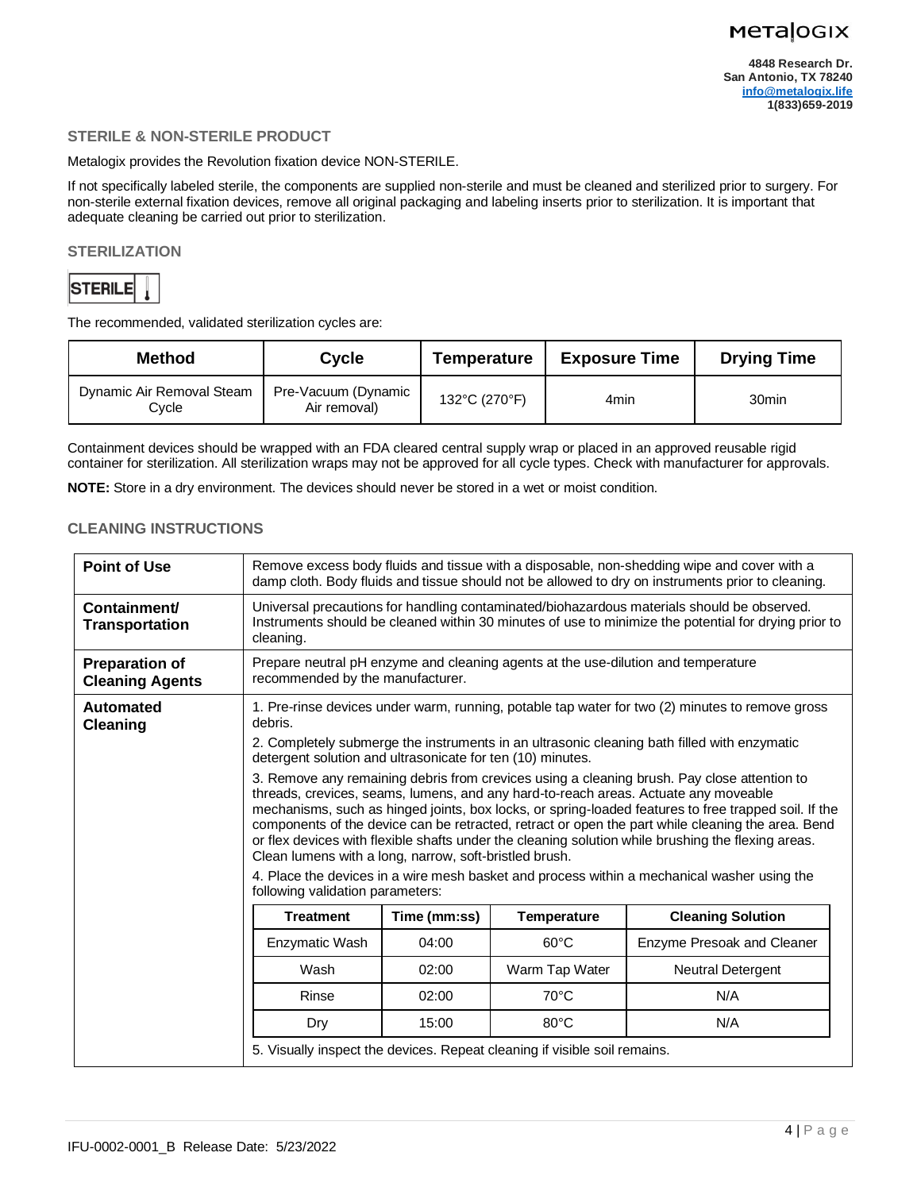### **STERILE & NON-STERILE PRODUCT**

Metalogix provides the Revolution fixation device NON-STERILE.

If not specifically labeled sterile, the components are supplied non-sterile and must be cleaned and sterilized prior to surgery. For non-sterile external fixation devices, remove all original packaging and labeling inserts prior to sterilization. It is important that adequate cleaning be carried out prior to sterilization.

#### **STERILIZATION**



The recommended, validated sterilization cycles are:

| <b>Method</b>                      | Cycle                               | <b>Temperature</b> | <b>Exposure Time</b> | <b>Drying Time</b> |
|------------------------------------|-------------------------------------|--------------------|----------------------|--------------------|
| Dynamic Air Removal Steam<br>Cvcle | Pre-Vacuum (Dynamic<br>Air removal) | 132°C (270°F)      | 4min                 | 30 <sub>min</sub>  |

Containment devices should be wrapped with an FDA cleared central supply wrap or placed in an approved reusable rigid container for sterilization. All sterilization wraps may not be approved for all cycle types. Check with manufacturer for approvals.

**NOTE:** Store in a dry environment. The devices should never be stored in a wet or moist condition.

## **CLEANING INSTRUCTIONS**

| <b>Point of Use</b>                             | Remove excess body fluids and tissue with a disposable, non-shedding wipe and cover with a<br>damp cloth. Body fluids and tissue should not be allowed to dry on instruments prior to cleaning.                                                                                                                                                                                                                                                                                                                                                                                                                                                                                                                                                                                                                                                                                                                                                                               |              |                                                                           |                            |  |
|-------------------------------------------------|-------------------------------------------------------------------------------------------------------------------------------------------------------------------------------------------------------------------------------------------------------------------------------------------------------------------------------------------------------------------------------------------------------------------------------------------------------------------------------------------------------------------------------------------------------------------------------------------------------------------------------------------------------------------------------------------------------------------------------------------------------------------------------------------------------------------------------------------------------------------------------------------------------------------------------------------------------------------------------|--------------|---------------------------------------------------------------------------|----------------------------|--|
| Containment/<br><b>Transportation</b>           | Universal precautions for handling contaminated/biohazardous materials should be observed.<br>Instruments should be cleaned within 30 minutes of use to minimize the potential for drying prior to<br>cleaning.                                                                                                                                                                                                                                                                                                                                                                                                                                                                                                                                                                                                                                                                                                                                                               |              |                                                                           |                            |  |
| <b>Preparation of</b><br><b>Cleaning Agents</b> | Prepare neutral pH enzyme and cleaning agents at the use-dilution and temperature<br>recommended by the manufacturer.                                                                                                                                                                                                                                                                                                                                                                                                                                                                                                                                                                                                                                                                                                                                                                                                                                                         |              |                                                                           |                            |  |
| Automated<br><b>Cleaning</b>                    | 1. Pre-rinse devices under warm, running, potable tap water for two (2) minutes to remove gross<br>debris.<br>2. Completely submerge the instruments in an ultrasonic cleaning bath filled with enzymatic<br>detergent solution and ultrasonicate for ten (10) minutes.<br>3. Remove any remaining debris from crevices using a cleaning brush. Pay close attention to<br>threads, crevices, seams, lumens, and any hard-to-reach areas. Actuate any moveable<br>mechanisms, such as hinged joints, box locks, or spring-loaded features to free trapped soil. If the<br>components of the device can be retracted, retract or open the part while cleaning the area. Bend<br>or flex devices with flexible shafts under the cleaning solution while brushing the flexing areas.<br>Clean lumens with a long, narrow, soft-bristled brush.<br>4. Place the devices in a wire mesh basket and process within a mechanical washer using the<br>following validation parameters: |              |                                                                           |                            |  |
|                                                 | <b>Treatment</b>                                                                                                                                                                                                                                                                                                                                                                                                                                                                                                                                                                                                                                                                                                                                                                                                                                                                                                                                                              | Time (mm:ss) | <b>Temperature</b>                                                        | <b>Cleaning Solution</b>   |  |
|                                                 | Enzymatic Wash                                                                                                                                                                                                                                                                                                                                                                                                                                                                                                                                                                                                                                                                                                                                                                                                                                                                                                                                                                | 04:00        | $60^{\circ}$ C                                                            | Enzyme Presoak and Cleaner |  |
|                                                 | Wash                                                                                                                                                                                                                                                                                                                                                                                                                                                                                                                                                                                                                                                                                                                                                                                                                                                                                                                                                                          | 02:00        | Warm Tap Water                                                            | Neutral Detergent          |  |
|                                                 | Rinse                                                                                                                                                                                                                                                                                                                                                                                                                                                                                                                                                                                                                                                                                                                                                                                                                                                                                                                                                                         | 02:00        | $70^{\circ}$ C                                                            | N/A                        |  |
|                                                 | Dry                                                                                                                                                                                                                                                                                                                                                                                                                                                                                                                                                                                                                                                                                                                                                                                                                                                                                                                                                                           | 15:00        | $80^{\circ}$ C                                                            | N/A                        |  |
|                                                 |                                                                                                                                                                                                                                                                                                                                                                                                                                                                                                                                                                                                                                                                                                                                                                                                                                                                                                                                                                               |              | 5. Visually inspect the devices. Repeat cleaning if visible soil remains. |                            |  |